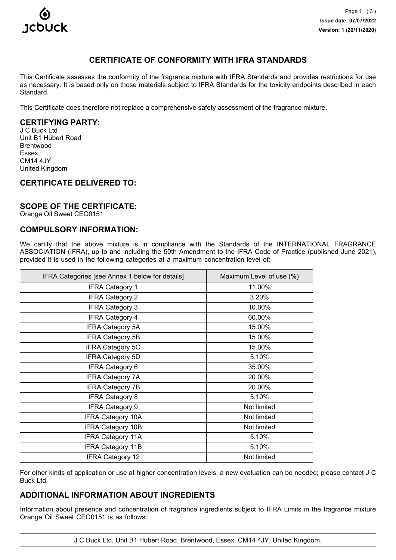

# **CERTIFICATE OF CONFORMITY WITH IFRA STANDARDS**

This Certificate assesses the conformity of the fragrance mixture with IFRA Standards and provides restrictions for use as necessary. It is based only on those materials subject to IFRA Standards for the toxicity endpoints described in each Standard.

This Certificate does therefore not replace a comprehensive safety assessment of the fragrance mixture.

### **CERTIFYING PARTY:**

J C Buck Ltd Unit B1 Hubert Road Brentwood Essex CM14 4JY United Kingdom

## **CERTIFICATE DELIVERED TO:**

#### **SCOPE OF THE CERTIFICATE:**

Orange Oil Sweet CEO0151

### **COMPULSORY INFORMATION:**

We certify that the above mixture is in compliance with the Standards of the INTERNATIONAL FRAGRANCE ASSOCIATION (IFRA), up to and including the 50th Amendment to the IFRA Code of Practice (published June 2021), provided it is used in the following categories at a maximum concentration level of:

| IFRA Categories [see Annex 1 below for details] | Maximum Level of use (%) |
|-------------------------------------------------|--------------------------|
| <b>IFRA Category 1</b>                          | 11.00%                   |
| <b>IFRA Category 2</b>                          | 3.20%                    |
| <b>IFRA Category 3</b>                          | 10.00%                   |
| <b>IFRA Category 4</b>                          | 60.00%                   |
| <b>IFRA Category 5A</b>                         | 15.00%                   |
| <b>IFRA Category 5B</b>                         | 15.00%                   |
| <b>IFRA Category 5C</b>                         | 15.00%                   |
| <b>IFRA Category 5D</b>                         | 5.10%                    |
| <b>IFRA Category 6</b>                          | 35.00%                   |
| <b>IFRA Category 7A</b>                         | 20.00%                   |
| <b>IFRA Category 7B</b>                         | 20.00%                   |
| <b>IFRA Category 8</b>                          | 5.10%                    |
| <b>IFRA Category 9</b>                          | Not limited              |
| <b>IFRA Category 10A</b>                        | Not limited              |
| <b>IFRA Category 10B</b>                        | Not limited              |
| <b>IFRA Category 11A</b>                        | 5.10%                    |
| <b>IFRA Category 11B</b>                        | 5.10%                    |
| IFRA Category 12                                | Not limited              |

For other kinds of application or use at higher concentration levels, a new evaluation can be needed; please contact J C Buck Ltd

## **ADDITIONAL INFORMATION ABOUT INGREDIENTS**

Information about presence and concentration of fragrance ingredients subject to IFRA Limits in the fragrance mixture Orange Oil Sweet CEO0151 is as follows:

J C Buck Ltd, Unit B1 Hubert Road, Brentwood, Essex, CM14 4JY, United Kingdom.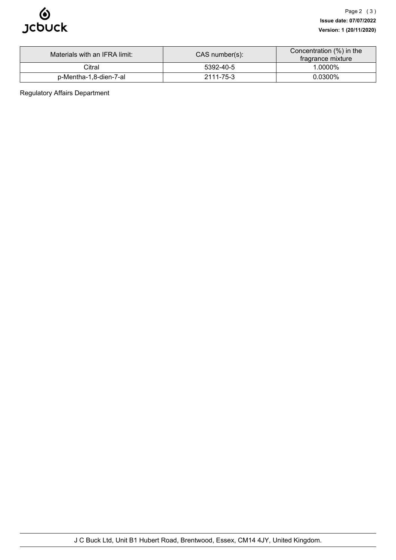

| Materials with an IFRA limit: | $CAS$ number(s): | Concentration (%) in the<br>fragrance mixture |
|-------------------------------|------------------|-----------------------------------------------|
| Citral                        | 5392-40-5        | 1.0000%                                       |
| p-Mentha-1,8-dien-7-al        | 2111-75-3        | 0.0300%                                       |

Regulatory Affairs Department